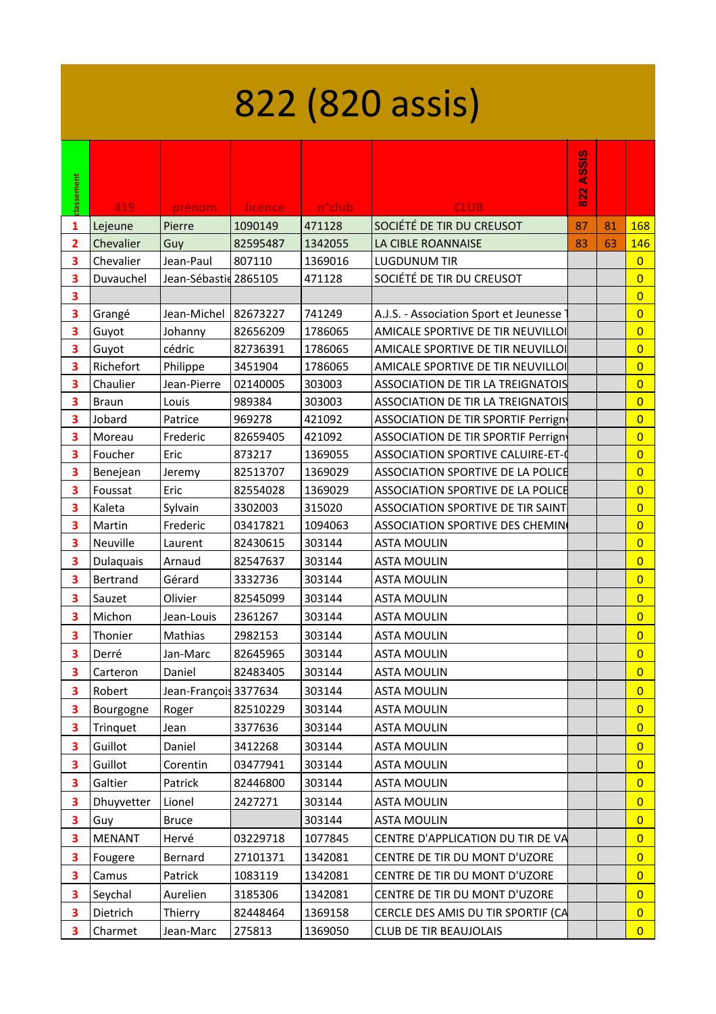## 822 (820 assis)

|            |                 |                        |                |                     |                                            | <b>ASSIS</b> |    |                |
|------------|-----------------|------------------------|----------------|---------------------|--------------------------------------------|--------------|----|----------------|
| classement | 419             | prénom                 | <b>licence</b> | n <sup>o</sup> club | <b>CLUB</b>                                | 822          |    |                |
| 1          | Lejeune         | Pierre                 | 1090149        | 471128              | SOCIÉTÉ DE TIR DU CREUSOT                  | 87           | 81 | 168            |
| 2          | Chevalier       | Guy                    | 82595487       | 1342055             | LA CIBLE ROANNAISE                         | 83           | 63 | 146            |
| 3          | Chevalier       | Jean-Paul              | 807110         | 1369016             | <b>LUGDUNUM TIR</b>                        |              |    | $\overline{0}$ |
| 3          | Duvauchel       | Jean-Sébastid 2865105  |                | 471128              | SOCIÉTÉ DE TIR DU CREUSOT                  |              |    | $\overline{0}$ |
| 3          |                 |                        |                |                     |                                            |              |    | $\overline{0}$ |
| 3          | Grangé          | Jean-Michel   82673227 |                | 741249              | A.J.S. - Association Sport et Jeunesse     |              |    | $\overline{0}$ |
| 3          | Guyot           | Johanny                | 82656209       | 1786065             | AMICALE SPORTIVE DE TIR NEUVILLOI          |              |    | $\overline{0}$ |
| 3          | Guyot           | cédric                 | 82736391       | 1786065             | AMICALE SPORTIVE DE TIR NEUVILLOI          |              |    | $\overline{0}$ |
| 3          | Richefort       | Philippe               | 3451904        | 1786065             | AMICALE SPORTIVE DE TIR NEUVILLOI          |              |    | $\overline{0}$ |
| 3          | Chaulier        | Jean-Pierre            | 02140005       | 303003              | <b>ASSOCIATION DE TIR LA TREIGNATOIS</b>   |              |    | $\overline{0}$ |
| 3          | <b>Braun</b>    | Louis                  | 989384         | 303003              | <b>ASSOCIATION DE TIR LA TREIGNATOIS</b>   |              |    | $\overline{0}$ |
| 3          | Jobard          | Patrice                | 969278         | 421092              | <b>ASSOCIATION DE TIR SPORTIF Perrigny</b> |              |    | $\overline{0}$ |
| 3          | Moreau          | Frederic               | 82659405       | 421092              | <b>ASSOCIATION DE TIR SPORTIF Perrigny</b> |              |    | $\overline{0}$ |
| 3          | Foucher         | Eric                   | 873217         | 1369055             | <b>ASSOCIATION SPORTIVE CALUIRE-ET-0</b>   |              |    | $\overline{0}$ |
| 3          | Benejean        | Jeremy                 | 82513707       | 1369029             | <b>ASSOCIATION SPORTIVE DE LA POLICE</b>   |              |    | $\overline{0}$ |
| 3          | Foussat         | Eric                   | 82554028       | 1369029             | <b>ASSOCIATION SPORTIVE DE LA POLICE</b>   |              |    | $\overline{0}$ |
| 3          | Kaleta          | Sylvain                | 3302003        | 315020              | <b>ASSOCIATION SPORTIVE DE TIR SAINT</b>   |              |    | $\overline{0}$ |
| 3          | Martin          | Frederic               | 03417821       | 1094063             | <b>ASSOCIATION SPORTIVE DES CHEMIN</b>     |              |    | $\overline{0}$ |
| 3          | Neuville        | Laurent                | 82430615       | 303144              | <b>ASTA MOULIN</b>                         |              |    | $\overline{0}$ |
| 3          | Dulaquais       | Arnaud                 | 82547637       | 303144              | <b>ASTA MOULIN</b>                         |              |    | $\overline{0}$ |
| 3          | <b>Bertrand</b> | Gérard                 | 3332736        | 303144              | <b>ASTA MOULIN</b>                         |              |    | $\overline{0}$ |
| 3          | Sauzet          | Olivier                | 82545099       | 303144              | <b>ASTA MOULIN</b>                         |              |    | $\overline{0}$ |
| 3          | Michon          | Jean-Louis             | 2361267        | 303144              | <b>ASTA MOULIN</b>                         |              |    | $\overline{0}$ |
| 3          | Thonier         | Mathias                | 2982153        | 303144              | <b>ASTA MOULIN</b>                         |              |    | $\overline{0}$ |
| 3          | Derré           | Jan-Marc               | 82645965       | 303144              | <b>ASTA MOULIN</b>                         |              |    | $\overline{0}$ |
| 3          | Carteron        | Daniel                 | 82483405       | 303144              | <b>ASTA MOULIN</b>                         |              |    | $\overline{0}$ |
| З          | Robert          | Jean-François 3377634  |                | 303144              | <b>ASTA MOULIN</b>                         |              |    | $\overline{0}$ |
| 3          | Bourgogne       | Roger                  | 82510229       | 303144              | <b>ASTA MOULIN</b>                         |              |    | $\overline{0}$ |
| 3          | Trinquet        | Jean                   | 3377636        | 303144              | <b>ASTA MOULIN</b>                         |              |    | $\overline{0}$ |
| З          | Guillot         | Daniel                 | 3412268        | 303144              | <b>ASTA MOULIN</b>                         |              |    | $\overline{0}$ |
| 3          | Guillot         | Corentin               | 03477941       | 303144              | <b>ASTA MOULIN</b>                         |              |    | $\overline{0}$ |
| 3          | Galtier         | Patrick                | 82446800       | 303144              | <b>ASTA MOULIN</b>                         |              |    | $\overline{0}$ |
| 3          | Dhuyvetter      | Lionel                 | 2427271        | 303144              | <b>ASTA MOULIN</b>                         |              |    | $\overline{0}$ |
| 3          | Guy             | <b>Bruce</b>           |                | 303144              | <b>ASTA MOULIN</b>                         |              |    | $\overline{0}$ |
| 3          | <b>MENANT</b>   | Hervé                  | 03229718       | 1077845             | CENTRE D'APPLICATION DU TIR DE VA          |              |    | $\overline{0}$ |
| З          | Fougere         | Bernard                | 27101371       | 1342081             | CENTRE DE TIR DU MONT D'UZORE              |              |    | $\overline{0}$ |
|            |                 |                        |                |                     |                                            |              |    | $\overline{0}$ |
| 3          | Camus           | Patrick                | 1083119        | 1342081             | CENTRE DE TIR DU MONT D'UZORE              |              |    |                |
| 3          | Seychal         | Aurelien               | 3185306        | 1342081             | CENTRE DE TIR DU MONT D'UZORE              |              |    | $\overline{0}$ |
| 3          | Dietrich        | Thierry                | 82448464       | 1369158             | CERCLE DES AMIS DU TIR SPORTIF (CA         |              |    | $\overline{0}$ |
| 3          | Charmet         | Jean-Marc              | 275813         | 1369050             | <b>CLUB DE TIR BEAUJOLAIS</b>              |              |    | $\overline{0}$ |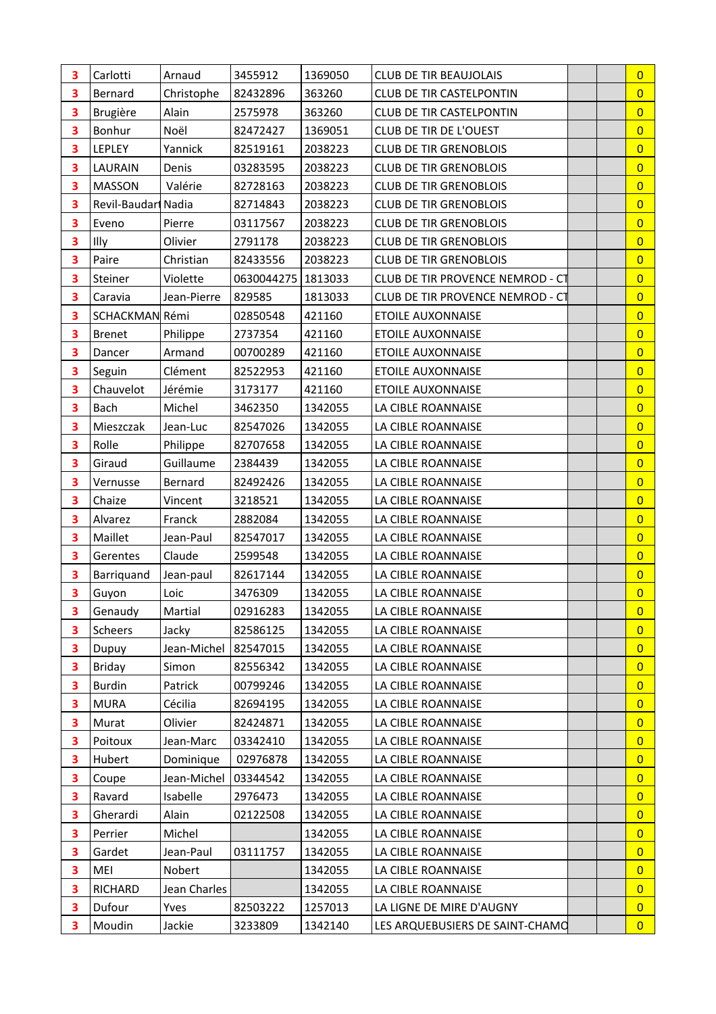| 3 | Carlotti            | Arnaud       | 3455912              | 1369050 | <b>CLUB DE TIR BEAUJOLAIS</b>    | $\overline{0}$ |
|---|---------------------|--------------|----------------------|---------|----------------------------------|----------------|
| 3 | Bernard             | Christophe   | 82432896             | 363260  | <b>CLUB DE TIR CASTELPONTIN</b>  | $\overline{0}$ |
| 3 | <b>Brugière</b>     | Alain        | 2575978              | 363260  | <b>CLUB DE TIR CASTELPONTIN</b>  | $\overline{0}$ |
| 3 | Bonhur              | Noël         | 82472427             | 1369051 | CLUB DE TIR DE L'OUEST           | $\overline{0}$ |
| 3 | LEPLEY              | Yannick      | 82519161             | 2038223 | <b>CLUB DE TIR GRENOBLOIS</b>    | $\overline{0}$ |
| 3 | LAURAIN             | Denis        | 03283595             | 2038223 | <b>CLUB DE TIR GRENOBLOIS</b>    | $\overline{0}$ |
| 3 | <b>MASSON</b>       | Valérie      | 82728163             | 2038223 | <b>CLUB DE TIR GRENOBLOIS</b>    | $\overline{0}$ |
| 3 | Revil-Baudari Nadia |              | 82714843             | 2038223 | <b>CLUB DE TIR GRENOBLOIS</b>    | $\overline{0}$ |
| 3 | Eveno               | Pierre       | 03117567             | 2038223 | <b>CLUB DE TIR GRENOBLOIS</b>    | $\overline{0}$ |
| 3 | Illy                | Olivier      | 2791178              | 2038223 | <b>CLUB DE TIR GRENOBLOIS</b>    | $\overline{0}$ |
| 3 | Paire               | Christian    | 82433556             | 2038223 | <b>CLUB DE TIR GRENOBLOIS</b>    | $\overline{0}$ |
| 3 | Steiner             | Violette     | 0630044275   1813033 |         | CLUB DE TIR PROVENCE NEMROD - CT | $\overline{0}$ |
| 3 | Caravia             | Jean-Pierre  | 829585               | 1813033 | CLUB DE TIR PROVENCE NEMROD - CT | $\overline{0}$ |
| 3 | SCHACKMAN Rémi      |              | 02850548             | 421160  | <b>ETOILE AUXONNAISE</b>         | $\overline{0}$ |
| 3 | <b>Brenet</b>       | Philippe     | 2737354              | 421160  | <b>ETOILE AUXONNAISE</b>         | $\overline{0}$ |
| 3 | Dancer              | Armand       | 00700289             | 421160  | <b>ETOILE AUXONNAISE</b>         | $\overline{0}$ |
| 3 | Seguin              | Clément      | 82522953             | 421160  | <b>ETOILE AUXONNAISE</b>         | $\overline{0}$ |
| 3 | Chauvelot           | Jérémie      | 3173177              | 421160  | <b>ETOILE AUXONNAISE</b>         | $\overline{0}$ |
| 3 | Bach                | Michel       | 3462350              | 1342055 | LA CIBLE ROANNAISE               | $\overline{0}$ |
| 3 | Mieszczak           | Jean-Luc     | 82547026             | 1342055 | LA CIBLE ROANNAISE               | $\overline{0}$ |
| 3 | Rolle               | Philippe     | 82707658             | 1342055 | LA CIBLE ROANNAISE               | $\overline{0}$ |
| 3 | Giraud              | Guillaume    | 2384439              | 1342055 | LA CIBLE ROANNAISE               | $\overline{0}$ |
| 3 | Vernusse            | Bernard      | 82492426             | 1342055 | LA CIBLE ROANNAISE               | $\overline{0}$ |
| 3 | Chaize              | Vincent      | 3218521              | 1342055 | LA CIBLE ROANNAISE               | $\overline{0}$ |
| 3 | Alvarez             | Franck       | 2882084              | 1342055 | LA CIBLE ROANNAISE               | $\overline{0}$ |
| 3 | Maillet             | Jean-Paul    | 82547017             | 1342055 | LA CIBLE ROANNAISE               | $\overline{0}$ |
| 3 | Gerentes            | Claude       | 2599548              | 1342055 | LA CIBLE ROANNAISE               | $\overline{0}$ |
| 3 | Barriquand          | Jean-paul    | 82617144             | 1342055 | LA CIBLE ROANNAISE               | $\overline{0}$ |
| 3 | Guyon               | Loic         | 3476309              | 1342055 | LA CIBLE ROANNAISE               | $\overline{0}$ |
| 3 | Genaudy             | Martial      | 02916283             | 1342055 | LA CIBLE ROANNAISE               | $\overline{0}$ |
| 3 | Scheers             | Jacky        | 82586125             | 1342055 | LA CIBLE ROANNAISE               | $\overline{0}$ |
| 3 | Dupuy               | Jean-Michel  | 82547015             | 1342055 | LA CIBLE ROANNAISE               | $\overline{0}$ |
| 3 | <b>Briday</b>       | Simon        | 82556342             | 1342055 | LA CIBLE ROANNAISE               | $\overline{0}$ |
| 3 | <b>Burdin</b>       | Patrick      | 00799246             | 1342055 | LA CIBLE ROANNAISE               | $\overline{0}$ |
| 3 | <b>MURA</b>         | Cécilia      | 82694195             | 1342055 | LA CIBLE ROANNAISE               | $\overline{0}$ |
| 3 | Murat               | Olivier      | 82424871             | 1342055 | LA CIBLE ROANNAISE               | $\overline{0}$ |
| 3 | Poitoux             | Jean-Marc    | 03342410             | 1342055 | LA CIBLE ROANNAISE               | $\overline{0}$ |
| 3 | Hubert              | Dominique    | 02976878             | 1342055 | LA CIBLE ROANNAISE               | $\overline{0}$ |
| 3 | Coupe               | Jean-Michel  | 03344542             | 1342055 | LA CIBLE ROANNAISE               | $\overline{0}$ |
| 3 | Ravard              | Isabelle     | 2976473              | 1342055 | LA CIBLE ROANNAISE               | $\overline{0}$ |
| 3 | Gherardi            | Alain        | 02122508             | 1342055 | LA CIBLE ROANNAISE               | $\overline{0}$ |
| 3 | Perrier             | Michel       |                      | 1342055 | LA CIBLE ROANNAISE               | $\overline{0}$ |
| 3 | Gardet              | Jean-Paul    | 03111757             | 1342055 | LA CIBLE ROANNAISE               | $\overline{0}$ |
| 3 | MEI                 | Nobert       |                      | 1342055 | LA CIBLE ROANNAISE               | $\overline{0}$ |
| 3 | RICHARD             | Jean Charles |                      | 1342055 | LA CIBLE ROANNAISE               | $\overline{0}$ |
| 3 | Dufour              | Yves         | 82503222             | 1257013 | LA LIGNE DE MIRE D'AUGNY         | $\overline{0}$ |
| 3 | Moudin              | Jackie       | 3233809              | 1342140 | LES ARQUEBUSIERS DE SAINT-CHAMO  | $\overline{0}$ |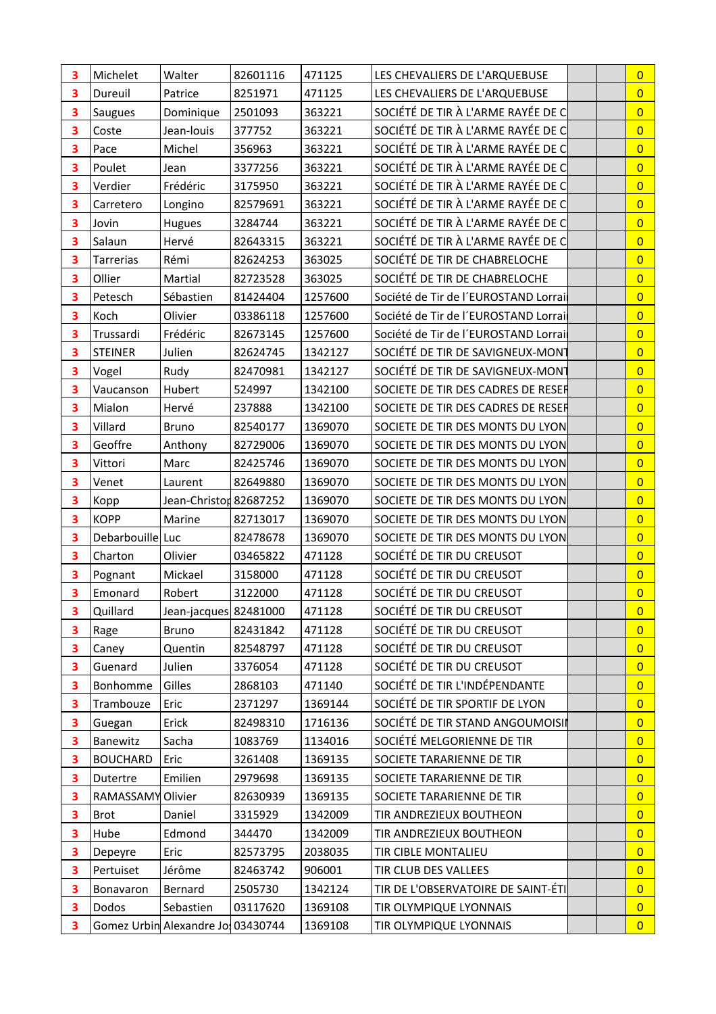| 3 | Michelet          | Walter                            | 82601116 | 471125  | LES CHEVALIERS DE L'ARQUEBUSE        | $\overline{0}$ |
|---|-------------------|-----------------------------------|----------|---------|--------------------------------------|----------------|
| 3 | Dureuil           | Patrice                           | 8251971  | 471125  | LES CHEVALIERS DE L'ARQUEBUSE        | $\overline{0}$ |
| 3 | Saugues           | Dominique                         | 2501093  | 363221  | SOCIÉTÉ DE TIR À L'ARME RAYÉE DE C   | $\overline{0}$ |
| 3 | Coste             | Jean-louis                        | 377752   | 363221  | SOCIÉTÉ DE TIR À L'ARME RAYÉE DE C   | $\overline{0}$ |
| 3 | Pace              | Michel                            | 356963   | 363221  | SOCIÉTÉ DE TIR À L'ARME RAYÉE DE C   | $\overline{0}$ |
| 3 | Poulet            | Jean                              | 3377256  | 363221  | SOCIÉTÉ DE TIR À L'ARME RAYÉE DE C   | $\overline{0}$ |
| 3 | Verdier           | Frédéric                          | 3175950  | 363221  | SOCIÉTÉ DE TIR À L'ARME RAYÉE DE C   | $\overline{0}$ |
| 3 | Carretero         | Longino                           | 82579691 | 363221  | SOCIÉTÉ DE TIR À L'ARME RAYÉE DE C   | $\overline{0}$ |
| 3 | Jovin             | Hugues                            | 3284744  | 363221  | SOCIÉTÉ DE TIR À L'ARME RAYÉE DE C   | $\overline{0}$ |
| 3 | Salaun            | Hervé                             | 82643315 | 363221  | SOCIÉTÉ DE TIR À L'ARME RAYÉE DE C   | $\overline{0}$ |
| 3 | Tarrerias         | Rémi                              | 82624253 | 363025  | SOCIÉTÉ DE TIR DE CHABRELOCHE        | $\overline{0}$ |
| 3 | Ollier            | Martial                           | 82723528 | 363025  | SOCIÉTÉ DE TIR DE CHABRELOCHE        | $\overline{0}$ |
| 3 | Petesch           | Sébastien                         | 81424404 | 1257600 | Société de Tir de l'EUROSTAND Lorrai | $\overline{0}$ |
| 3 | Koch              | Olivier                           | 03386118 | 1257600 | Société de Tir de l'EUROSTAND Lorrai | $\overline{0}$ |
| 3 | Trussardi         | Frédéric                          | 82673145 | 1257600 | Société de Tir de l'EUROSTAND Lorrai | $\overline{0}$ |
| 3 | <b>STEINER</b>    | Julien                            | 82624745 | 1342127 | SOCIÉTÉ DE TIR DE SAVIGNEUX-MONT     | $\overline{0}$ |
| 3 | Vogel             | Rudy                              | 82470981 | 1342127 | SOCIÉTÉ DE TIR DE SAVIGNEUX-MONT     | $\overline{0}$ |
| 3 | Vaucanson         | Hubert                            | 524997   | 1342100 | SOCIETE DE TIR DES CADRES DE RESER   | $\overline{0}$ |
| 3 | Mialon            | Hervé                             | 237888   | 1342100 | SOCIETE DE TIR DES CADRES DE RESER   | $\overline{0}$ |
| 3 | Villard           | <b>Bruno</b>                      | 82540177 | 1369070 | SOCIETE DE TIR DES MONTS DU LYON     | $\overline{0}$ |
| 3 | Geoffre           | Anthony                           | 82729006 | 1369070 | SOCIETE DE TIR DES MONTS DU LYON     | $\overline{0}$ |
| 3 | Vittori           | Marc                              | 82425746 | 1369070 | SOCIETE DE TIR DES MONTS DU LYON     | $\overline{0}$ |
| 3 | Venet             | Laurent                           | 82649880 | 1369070 | SOCIETE DE TIR DES MONTS DU LYON     | $\overline{0}$ |
| 3 | Kopp              | Jean-Christon 82687252            |          | 1369070 | SOCIETE DE TIR DES MONTS DU LYON     | $\overline{0}$ |
| 3 | <b>KOPP</b>       | Marine                            | 82713017 | 1369070 | SOCIETE DE TIR DES MONTS DU LYON     | $\overline{0}$ |
| 3 | Debarbouille Luc  |                                   | 82478678 | 1369070 | SOCIETE DE TIR DES MONTS DU LYON     | $\overline{0}$ |
| 3 | Charton           | Olivier                           | 03465822 | 471128  | SOCIÉTÉ DE TIR DU CREUSOT            | $\overline{0}$ |
| 3 | Pognant           | Mickael                           | 3158000  | 471128  | SOCIÉTÉ DE TIR DU CREUSOT            | $\overline{0}$ |
| 3 | Emonard           | Robert                            | 3122000  | 471128  | SOCIÉTÉ DE TIR DU CREUSOT            | $\overline{0}$ |
| 3 | Quillard          | Jean-jacques 82481000             |          | 471128  | SOCIÉTÉ DE TIR DU CREUSOT            | $\overline{0}$ |
| 3 | Rage              | <b>Bruno</b>                      | 82431842 | 471128  | SOCIÉTÉ DE TIR DU CREUSOT            | $\overline{0}$ |
| 3 | Caney             | Quentin                           | 82548797 | 471128  | SOCIÉTÉ DE TIR DU CREUSOT            | $\overline{0}$ |
| 3 | Guenard           | Julien                            | 3376054  | 471128  | SOCIÉTÉ DE TIR DU CREUSOT            | $\overline{0}$ |
| 3 | Bonhomme          | Gilles                            | 2868103  | 471140  | SOCIÉTÉ DE TIR L'INDÉPENDANTE        | $\overline{0}$ |
| 3 | Trambouze         | Eric                              | 2371297  | 1369144 | SOCIÉTÉ DE TIR SPORTIF DE LYON       | $\overline{0}$ |
| 3 | Guegan            | Erick                             | 82498310 | 1716136 | SOCIÉTÉ DE TIR STAND ANGOUMOISIN     | $\overline{0}$ |
| 3 | Banewitz          | Sacha                             | 1083769  | 1134016 | SOCIÉTÉ MELGORIENNE DE TIR           | $\overline{0}$ |
| 3 | <b>BOUCHARD</b>   | Eric                              | 3261408  | 1369135 | SOCIETE TARARIENNE DE TIR            | $\overline{0}$ |
| 3 | Dutertre          | Emilien                           | 2979698  | 1369135 | SOCIETE TARARIENNE DE TIR            | $\overline{0}$ |
| 3 | RAMASSAMY Olivier |                                   | 82630939 | 1369135 | SOCIETE TARARIENNE DE TIR            | $\overline{0}$ |
| 3 | <b>Brot</b>       | Daniel                            | 3315929  | 1342009 | TIR ANDREZIEUX BOUTHEON              | $\overline{0}$ |
| 3 | Hube              | Edmond                            | 344470   | 1342009 | TIR ANDREZIEUX BOUTHEON              | $\overline{0}$ |
| 3 | Depeyre           | Eric                              | 82573795 | 2038035 | TIR CIBLE MONTALIEU                  | $\overline{0}$ |
| 3 | Pertuiset         | Jérôme                            | 82463742 | 906001  | TIR CLUB DES VALLEES                 | $\overline{0}$ |
| 3 | Bonavaron         | Bernard                           | 2505730  | 1342124 | TIR DE L'OBSERVATOIRE DE SAINT-ÉTI   | $\overline{0}$ |
| 3 | Dodos             | Sebastien                         | 03117620 | 1369108 | TIR OLYMPIQUE LYONNAIS               | $\overline{0}$ |
| 3 |                   | Gomez Urbin Alexandre Jo 03430744 |          | 1369108 | TIR OLYMPIQUE LYONNAIS               | $\overline{0}$ |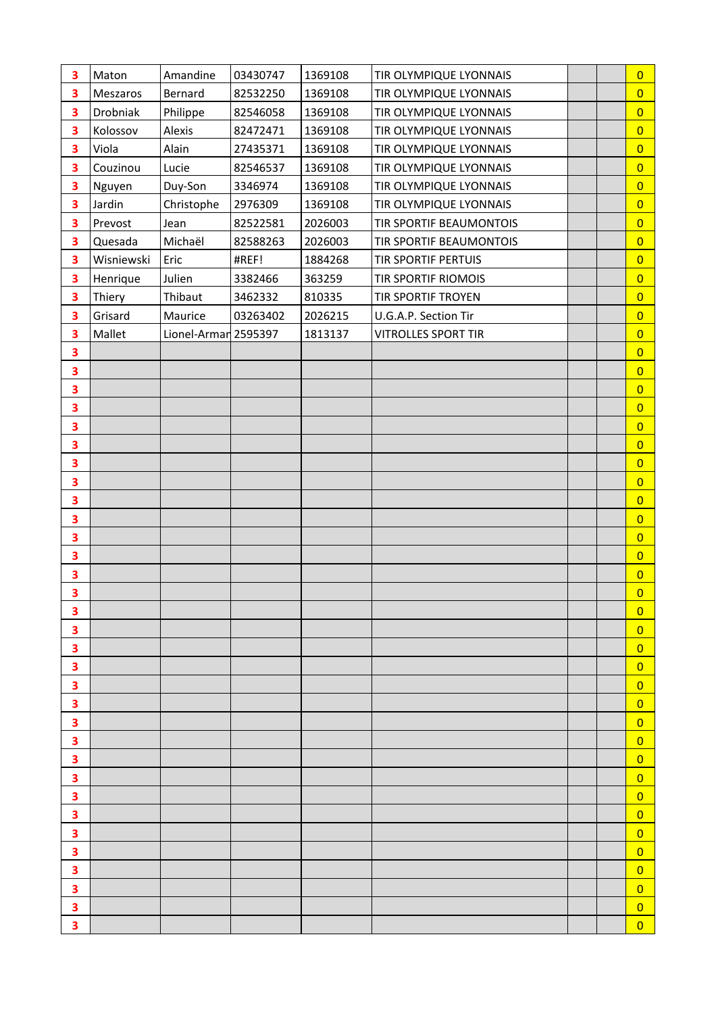| 3 | Maton      | Amandine             | 03430747 | 1369108 | TIR OLYMPIQUE LYONNAIS     |  | $\overline{0}$          |
|---|------------|----------------------|----------|---------|----------------------------|--|-------------------------|
| 3 | Meszaros   | Bernard              | 82532250 | 1369108 | TIR OLYMPIQUE LYONNAIS     |  | $\overline{0}$          |
| 3 | Drobniak   | Philippe             | 82546058 | 1369108 | TIR OLYMPIQUE LYONNAIS     |  | $\overline{0}$          |
| 3 | Kolossov   | Alexis               | 82472471 | 1369108 | TIR OLYMPIQUE LYONNAIS     |  | $\overline{0}$          |
| 3 | Viola      | Alain                | 27435371 | 1369108 | TIR OLYMPIQUE LYONNAIS     |  | $\overline{0}$          |
| 3 | Couzinou   | Lucie                | 82546537 | 1369108 | TIR OLYMPIQUE LYONNAIS     |  | $\overline{0}$          |
| 3 | Nguyen     | Duy-Son              | 3346974  | 1369108 | TIR OLYMPIQUE LYONNAIS     |  | $\overline{0}$          |
| 3 | Jardin     | Christophe           | 2976309  | 1369108 | TIR OLYMPIQUE LYONNAIS     |  | $\overline{0}$          |
| 3 | Prevost    | Jean                 | 82522581 | 2026003 | TIR SPORTIF BEAUMONTOIS    |  | $\overline{0}$          |
| 3 | Quesada    | Michaël              | 82588263 | 2026003 | TIR SPORTIF BEAUMONTOIS    |  | $\overline{0}$          |
| 3 | Wisniewski | Eric                 | #REF!    | 1884268 | TIR SPORTIF PERTUIS        |  | $\overline{0}$          |
| 3 | Henrique   | Julien               | 3382466  | 363259  | TIR SPORTIF RIOMOIS        |  | $\overline{0}$          |
| 3 | Thiery     | Thibaut              | 3462332  | 810335  | TIR SPORTIF TROYEN         |  | $\overline{0}$          |
| 3 | Grisard    | Maurice              | 03263402 | 2026215 | U.G.A.P. Section Tir       |  | $\overline{0}$          |
| 3 | Mallet     | Lionel-Armar 2595397 |          | 1813137 | <b>VITROLLES SPORT TIR</b> |  | $\overline{0}$          |
| 3 |            |                      |          |         |                            |  | $\overline{0}$          |
| 3 |            |                      |          |         |                            |  | $\overline{0}$          |
| 3 |            |                      |          |         |                            |  | $\overline{0}$          |
| 3 |            |                      |          |         |                            |  | $\overline{0}$          |
| 3 |            |                      |          |         |                            |  | $\overline{0}$          |
| 3 |            |                      |          |         |                            |  | $\overline{0}$          |
| 3 |            |                      |          |         |                            |  | $\overline{0}$          |
| 3 |            |                      |          |         |                            |  | $\overline{0}$          |
| 3 |            |                      |          |         |                            |  | $\overline{0}$          |
| 3 |            |                      |          |         |                            |  | $\overline{0}$          |
| 3 |            |                      |          |         |                            |  | $\overline{0}$          |
| 3 |            |                      |          |         |                            |  | $\overline{0}$          |
| 3 |            |                      |          |         |                            |  | $\overline{0}$          |
| 3 |            |                      |          |         |                            |  | $\overline{0}$          |
| з |            |                      |          |         |                            |  | $\bf{0}$                |
| 3 |            |                      |          |         |                            |  | $\overline{0}$          |
| 3 |            |                      |          |         |                            |  | $\overline{0}$          |
| 3 |            |                      |          |         |                            |  | $\overline{0}$          |
| 3 |            |                      |          |         |                            |  | $\overline{\mathbf{0}}$ |
| 3 |            |                      |          |         |                            |  | $\overline{0}$          |
| 3 |            |                      |          |         |                            |  | $\overline{0}$          |
| 3 |            |                      |          |         |                            |  | $\overline{0}$          |
| 3 |            |                      |          |         |                            |  | $\overline{0}$          |
| 3 |            |                      |          |         |                            |  | $\overline{0}$          |
| 3 |            |                      |          |         |                            |  | $\overline{0}$          |
| 3 |            |                      |          |         |                            |  | $\overline{0}$          |
| 3 |            |                      |          |         |                            |  | $\overline{0}$          |
| 3 |            |                      |          |         |                            |  | $\overline{0}$          |
| 3 |            |                      |          |         |                            |  | $\overline{0}$          |
| 3 |            |                      |          |         |                            |  | $\overline{0}$          |
| 3 |            |                      |          |         |                            |  | $\overline{0}$          |
| 3 |            |                      |          |         |                            |  | $\overline{0}$          |